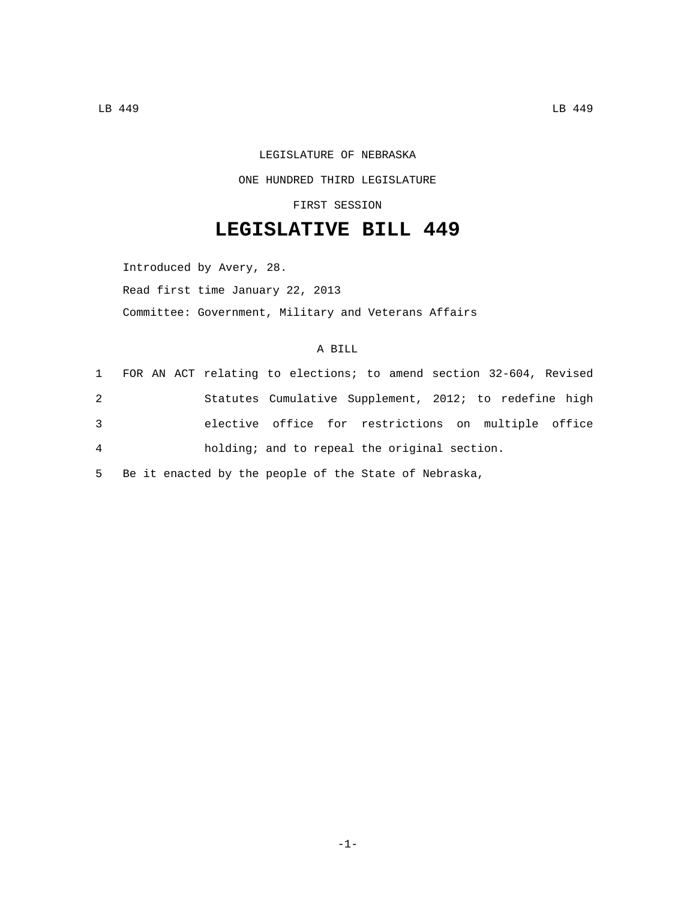## LEGISLATURE OF NEBRASKA ONE HUNDRED THIRD LEGISLATURE

FIRST SESSION

## **LEGISLATIVE BILL 449**

Introduced by Avery, 28. Read first time January 22, 2013 Committee: Government, Military and Veterans Affairs

## A BILL

|   |  | 1 FOR AN ACT relating to elections; to amend section 32-604, Revised |  |  |
|---|--|----------------------------------------------------------------------|--|--|
| 2 |  | Statutes Cumulative Supplement, 2012; to redefine high               |  |  |
| 3 |  | elective office for restrictions on multiple office                  |  |  |
| 4 |  | holding; and to repeal the original section.                         |  |  |

5 Be it enacted by the people of the State of Nebraska,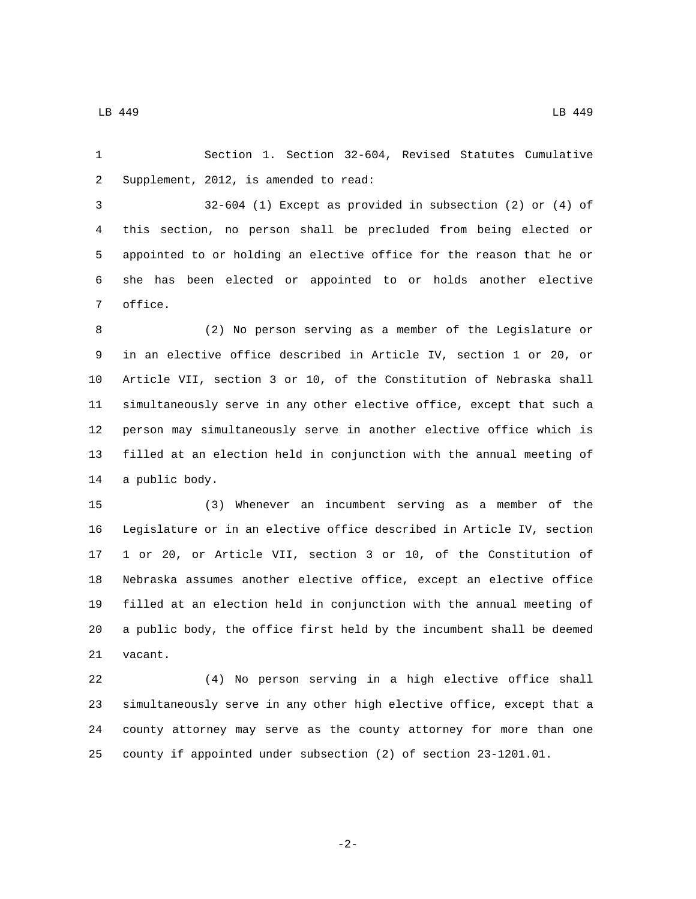LB 449 LB 449

 Section 1. Section 32-604, Revised Statutes Cumulative 2 Supplement, 2012, is amended to read:

 32-604 (1) Except as provided in subsection (2) or (4) of this section, no person shall be precluded from being elected or appointed to or holding an elective office for the reason that he or she has been elected or appointed to or holds another elective 7 office.

 (2) No person serving as a member of the Legislature or in an elective office described in Article IV, section 1 or 20, or Article VII, section 3 or 10, of the Constitution of Nebraska shall simultaneously serve in any other elective office, except that such a person may simultaneously serve in another elective office which is filled at an election held in conjunction with the annual meeting of 14 a public body.

 (3) Whenever an incumbent serving as a member of the Legislature or in an elective office described in Article IV, section 1 or 20, or Article VII, section 3 or 10, of the Constitution of Nebraska assumes another elective office, except an elective office filled at an election held in conjunction with the annual meeting of a public body, the office first held by the incumbent shall be deemed 21 vacant.

 (4) No person serving in a high elective office shall simultaneously serve in any other high elective office, except that a county attorney may serve as the county attorney for more than one county if appointed under subsection (2) of section 23-1201.01.

$$
-2\,-
$$